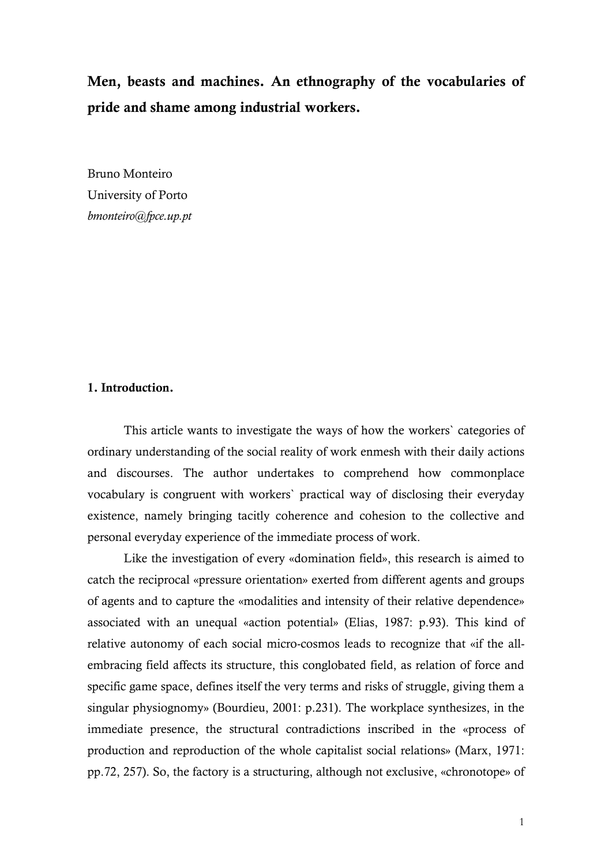# **Men, beasts and machines. An ethnography of the vocabularies of pride and shame among industrial workers.**

Bruno Monteiro University of Porto *[bmonteiro@fpce.up.pt](mailto:bmonteiro@fpce.up.pt)*

## **1. Introduction.**

This article wants to investigate the ways of how the workers` categories of ordinary understanding of the social reality of work enmesh with their daily actions and discourses. The author undertakes to comprehend how commonplace vocabulary is congruent with workers` practical way of disclosing their everyday existence, namely bringing tacitly coherence and cohesion to the collective and personal everyday experience of the immediate process of work.

Like the investigation of every «domination field», this research is aimed to catch the reciprocal «pressure orientation» exerted from different agents and groups of agents and to capture the «modalities and intensity of their relative dependence» associated with an unequal «action potential» (Elias, 1987: p.93). This kind of relative autonomy of each social micro-cosmos leads to recognize that «if the allembracing field affects its structure, this conglobated field, as relation of force and specific game space, defines itself the very terms and risks of struggle, giving them a singular physiognomy» (Bourdieu, 2001: p.231). The workplace synthesizes, in the immediate presence, the structural contradictions inscribed in the «process of production and reproduction of the whole capitalist social relations» (Marx, 1971: pp.72, 257). So, the factory is a structuring, although not exclusive, «chronotope» of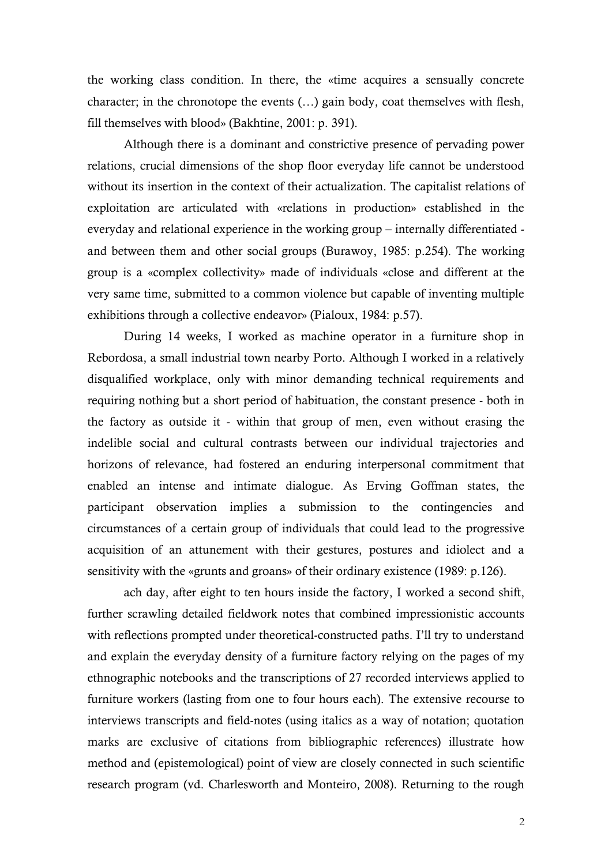the working class condition. In there, the «time acquires a sensually concrete character; in the chronotope the events (…) gain body, coat themselves with flesh, fill themselves with blood» (Bakhtine, 2001: p. 391).

Although there is a dominant and constrictive presence of pervading power relations, crucial dimensions of the shop floor everyday life cannot be understood without its insertion in the context of their actualization. The capitalist relations of exploitation are articulated with «relations in production» established in the everyday and relational experience in the working group – internally differentiated and between them and other social groups (Burawoy, 1985: p.254). The working group is a «complex collectivity» made of individuals «close and different at the very same time, submitted to a common violence but capable of inventing multiple exhibitions through a collective endeavor» (Pialoux, 1984: p.57).

During 14 weeks, I worked as machine operator in a furniture shop in Rebordosa, a small industrial town nearby Porto. Although I worked in a relatively disqualified workplace, only with minor demanding technical requirements and requiring nothing but a short period of habituation, the constant presence - both in the factory as outside it - within that group of men, even without erasing the indelible social and cultural contrasts between our individual trajectories and horizons of relevance, had fostered an enduring interpersonal commitment that enabled an intense and intimate dialogue. As Erving Goffman states, the participant observation implies a submission to the contingencies and circumstances of a certain group of individuals that could lead to the progressive acquisition of an attunement with their gestures, postures and idiolect and a sensitivity with the «grunts and groans» of their ordinary existence (1989: p.126).

ach day, after eight to ten hours inside the factory, I worked a second shift, further scrawling detailed fieldwork notes that combined impressionistic accounts with reflections prompted under theoretical-constructed paths. I'll try to understand and explain the everyday density of a furniture factory relying on the pages of my ethnographic notebooks and the transcriptions of 27 recorded interviews applied to furniture workers (lasting from one to four hours each). The extensive recourse to interviews transcripts and field-notes (using italics as a way of notation; quotation marks are exclusive of citations from bibliographic references) illustrate how method and (epistemological) point of view are closely connected in such scientific research program (vd. Charlesworth and Monteiro, 2008). Returning to the rough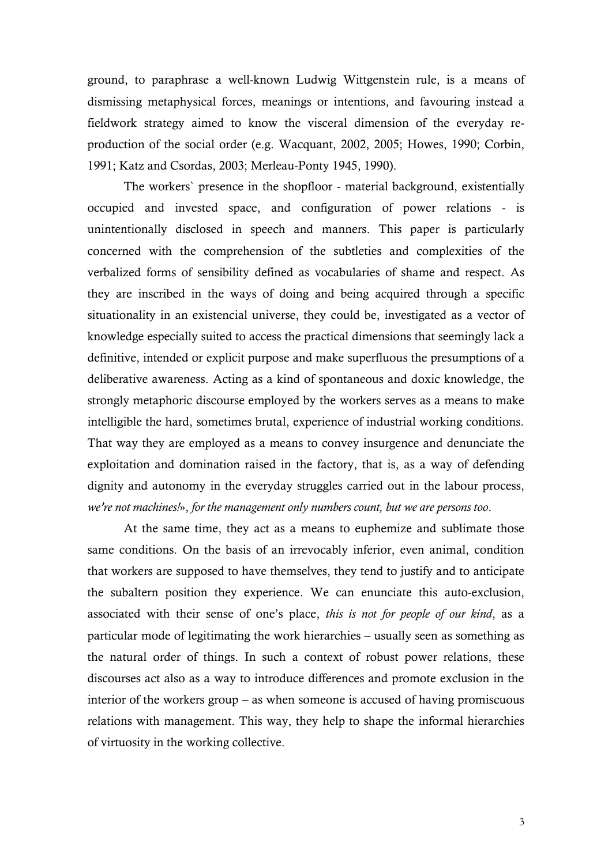ground, to paraphrase a well-known Ludwig Wittgenstein rule, is a means of dismissing metaphysical forces, meanings or intentions, and favouring instead a fieldwork strategy aimed to know the visceral dimension of the everyday reproduction of the social order (e.g. Wacquant, 2002, 2005; Howes, 1990; Corbin, 1991; Katz and Csordas, 2003; Merleau-Ponty 1945, 1990).

The workers` presence in the shopfloor - material background, existentially occupied and invested space, and configuration of power relations - is unintentionally disclosed in speech and manners. This paper is particularly concerned with the comprehension of the subtleties and complexities of the verbalized forms of sensibility defined as vocabularies of shame and respect. As they are inscribed in the ways of doing and being acquired through a specific situationality in an existencial universe, they could be, investigated as a vector of knowledge especially suited to access the practical dimensions that seemingly lack a definitive, intended or explicit purpose and make superfluous the presumptions of a deliberative awareness. Acting as a kind of spontaneous and doxic knowledge, the strongly metaphoric discourse employed by the workers serves as a means to make intelligible the hard, sometimes brutal, experience of industrial working conditions. That way they are employed as a means to convey insurgence and denunciate the exploitation and domination raised in the factory, that is, as a way of defending dignity and autonomy in the everyday struggles carried out in the labour process, *we're not machines!*», *for the management only numbers count, but we are persons too*.

At the same time, they act as a means to euphemize and sublimate those same conditions. On the basis of an irrevocably inferior, even animal, condition that workers are supposed to have themselves, they tend to justify and to anticipate the subaltern position they experience. We can enunciate this auto-exclusion, associated with their sense of one's place, *this is not for people of our kind*, as a particular mode of legitimating the work hierarchies – usually seen as something as the natural order of things. In such a context of robust power relations, these discourses act also as a way to introduce differences and promote exclusion in the interior of the workers group – as when someone is accused of having promiscuous relations with management. This way, they help to shape the informal hierarchies of virtuosity in the working collective.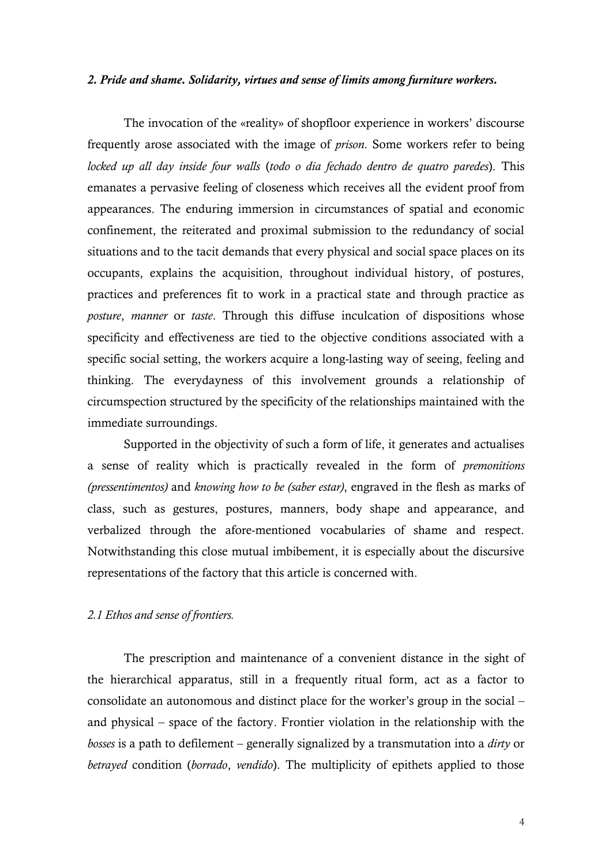#### *2. Pride and shame. Solidarity, virtues and sense of limits among furniture workers.*

The invocation of the «reality» of shopfloor experience in workers' discourse frequently arose associated with the image of *prison*. Some workers refer to being *locked up all day inside four walls* (*todo o dia fechado dentro de quatro paredes*). This emanates a pervasive feeling of closeness which receives all the evident proof from appearances. The enduring immersion in circumstances of spatial and economic confinement, the reiterated and proximal submission to the redundancy of social situations and to the tacit demands that every physical and social space places on its occupants, explains the acquisition, throughout individual history, of postures, practices and preferences fit to work in a practical state and through practice as *posture*, *manner* or *taste*. Through this diffuse inculcation of dispositions whose specificity and effectiveness are tied to the objective conditions associated with a specific social setting, the workers acquire a long-lasting way of seeing, feeling and thinking. The everydayness of this involvement grounds a relationship of circumspection structured by the specificity of the relationships maintained with the immediate surroundings.

Supported in the objectivity of such a form of life, it generates and actualises a sense of reality which is practically revealed in the form of *premonitions (pressentimentos)* and *knowing how to be (saber estar)*, engraved in the flesh as marks of class, such as gestures, postures, manners, body shape and appearance, and verbalized through the afore-mentioned vocabularies of shame and respect. Notwithstanding this close mutual imbibement, it is especially about the discursive representations of the factory that this article is concerned with.

# *2.1 Ethos and sense of frontiers.*

The prescription and maintenance of a convenient distance in the sight of the hierarchical apparatus, still in a frequently ritual form, act as a factor to consolidate an autonomous and distinct place for the worker's group in the social – and physical – space of the factory. Frontier violation in the relationship with the *bosses* is a path to defilement – generally signalized by a transmutation into a *dirty* or *betrayed* condition (*borrado*, *vendido*). The multiplicity of epithets applied to those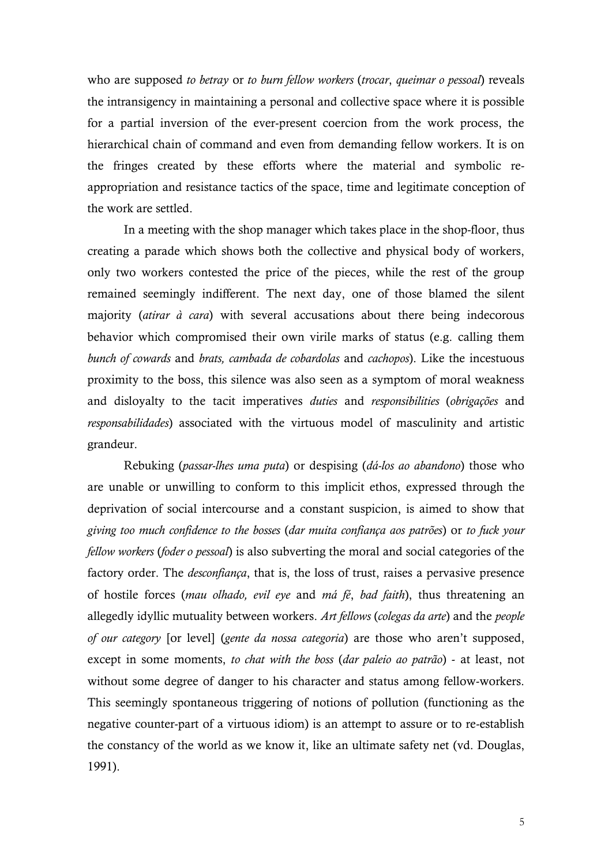who are supposed *to betray* or *to burn fellow workers* (*trocar*, *queimar o pessoal*) reveals the intransigency in maintaining a personal and collective space where it is possible for a partial inversion of the ever-present coercion from the work process, the hierarchical chain of command and even from demanding fellow workers. It is on the fringes created by these efforts where the material and symbolic reappropriation and resistance tactics of the space, time and legitimate conception of the work are settled.

In a meeting with the shop manager which takes place in the shop-floor, thus creating a parade which shows both the collective and physical body of workers, only two workers contested the price of the pieces, while the rest of the group remained seemingly indifferent. The next day, one of those blamed the silent majority (*atirar à cara*) with several accusations about there being indecorous behavior which compromised their own virile marks of status (e.g. calling them *bunch of cowards* and *brats, cambada de cobardolas* and *cachopos*). Like the incestuous proximity to the boss, this silence was also seen as a symptom of moral weakness and disloyalty to the tacit imperatives *duties* and *responsibilities* (*obrigações* and *responsabilidades*) associated with the virtuous model of masculinity and artistic grandeur.

Rebuking (*passar-lhes uma puta*) or despising (*dá-los ao abandono*) those who are unable or unwilling to conform to this implicit ethos, expressed through the deprivation of social intercourse and a constant suspicion, is aimed to show that *giving too much confidence to the bosses* (*dar muita confiança aos patrões*) or *to fuck your fellow workers* (*foder o pessoal*) is also subverting the moral and social categories of the factory order. The *desconfiança*, that is, the loss of trust, raises a pervasive presence of hostile forces (*mau olhado, evil eye* and *má fé*, *bad faith*), thus threatening an allegedly idyllic mutuality between workers. *Art fellows* (*colegas da arte*) and the *people of our category* [or level] (*gente da nossa categoria*) are those who aren't supposed, except in some moments, *to chat with the boss* (*dar paleio ao patrão*) - at least, not without some degree of danger to his character and status among fellow-workers. This seemingly spontaneous triggering of notions of pollution (functioning as the negative counter-part of a virtuous idiom) is an attempt to assure or to re-establish the constancy of the world as we know it, like an ultimate safety net (vd. Douglas, 1991).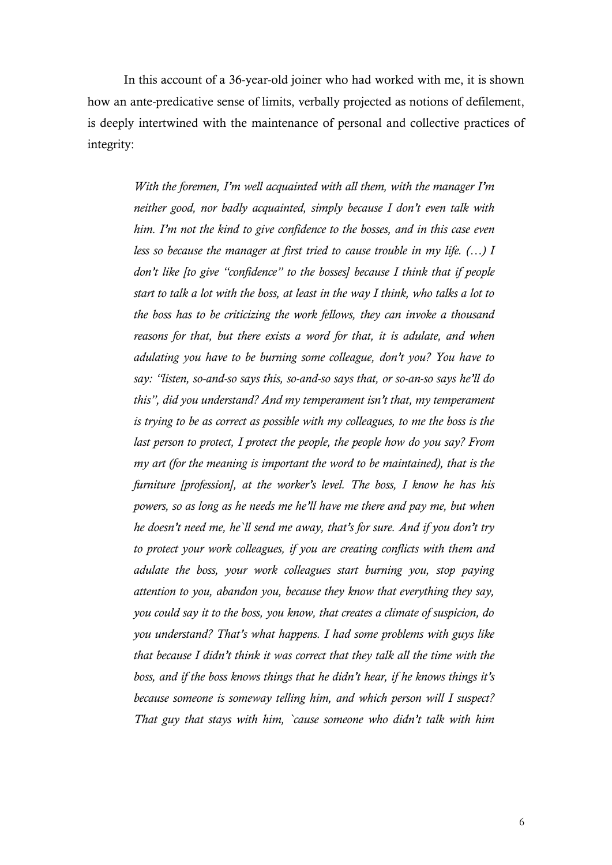In this account of a 36-year-old joiner who had worked with me, it is shown how an ante-predicative sense of limits, verbally projected as notions of defilement, is deeply intertwined with the maintenance of personal and collective practices of integrity:

> *With the foremen, I'm well acquainted with all them, with the manager I'm neither good, nor badly acquainted, simply because I don't even talk with him. I'm not the kind to give confidence to the bosses, and in this case even less so because the manager at first tried to cause trouble in my life. (…) I don't like [to give "confidence" to the bosses] because I think that if people start to talk a lot with the boss, at least in the way I think, who talks a lot to the boss has to be criticizing the work fellows, they can invoke a thousand reasons for that, but there exists a word for that, it is adulate, and when adulating you have to be burning some colleague, don't you? You have to say: "listen, so-and-so says this, so-and-so says that, or so-an-so says he'll do this", did you understand? And my temperament isn't that, my temperament is trying to be as correct as possible with my colleagues, to me the boss is the*  last person to protect, I protect the people, the people how do you say? From *my art (for the meaning is important the word to be maintained), that is the furniture [profession], at the worker's level. The boss, I know he has his powers, so as long as he needs me he'll have me there and pay me, but when he doesn't need me, he`ll send me away, that's for sure. And if you don't try to protect your work colleagues, if you are creating conflicts with them and adulate the boss, your work colleagues start burning you, stop paying attention to you, abandon you, because they know that everything they say, you could say it to the boss, you know, that creates a climate of suspicion, do you understand? That's what happens. I had some problems with guys like that because I didn't think it was correct that they talk all the time with the boss, and if the boss knows things that he didn't hear, if he knows things it's because someone is someway telling him, and which person will I suspect? That guy that stays with him, `cause someone who didn't talk with him*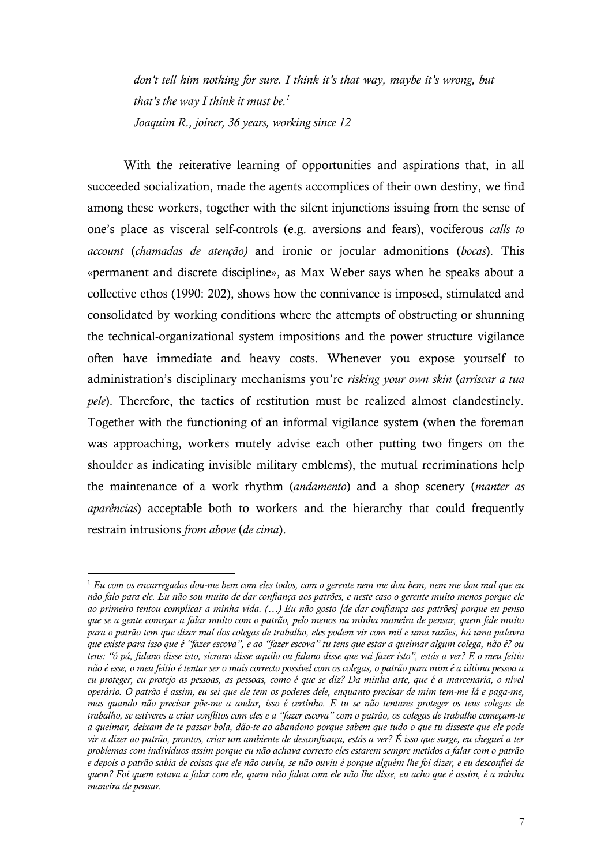*don't tell him nothing for sure. I think it's that way, maybe it's wrong, but that's the way I think it must be.*<sup> $1$ </sup> *Joaquim R., joiner, 36 years, working since 12*

With the reiterative learning of opportunities and aspirations that, in all succeeded socialization, made the agents accomplices of their own destiny, we find among these workers, together with the silent injunctions issuing from the sense of one's place as visceral self-controls (e.g. aversions and fears), vociferous *calls to account* (*chamadas de atenção)* and ironic or jocular admonitions (*bocas*). This «permanent and discrete discipline», as Max Weber says when he speaks about a collective ethos (1990: 202), shows how the connivance is imposed, stimulated and consolidated by working conditions where the attempts of obstructing or shunning the technical-organizational system impositions and the power structure vigilance often have immediate and heavy costs. Whenever you expose yourself to administration's disciplinary mechanisms you're *risking your own skin* (*arriscar a tua pele*). Therefore, the tactics of restitution must be realized almost clandestinely. Together with the functioning of an informal vigilance system (when the foreman was approaching, workers mutely advise each other putting two fingers on the shoulder as indicating invisible military emblems), the mutual recriminations help the maintenance of a work rhythm (*andamento*) and a shop scenery (*manter as aparências*) acceptable both to workers and the hierarchy that could frequently restrain intrusions *from above* (*de cima*).

-

<sup>1</sup> *Eu com os encarregados dou-me bem com eles todos, com o gerente nem me dou bem, nem me dou mal que eu não falo para ele. Eu não sou muito de dar confiança aos patrões, e neste caso o gerente muito menos porque ele ao primeiro tentou complicar a minha vida. (…) Eu não gosto [de dar confiança aos patrões] porque eu penso que se a gente começar a falar muito com o patrão, pelo menos na minha maneira de pensar, quem fale muito para o patrão tem que dizer mal dos colegas de trabalho, eles podem vir com mil e uma razões, há uma palavra que existe para isso que é "fazer escova", e ao "fazer escova" tu tens que estar a queimar algum colega, não é? ou tens: "ó pá, fulano disse isto, sicrano disse aquilo ou fulano disse que vai fazer isto", estás a ver? E o meu feitio não é esse, o meu feitio é tentar ser o mais correcto possível com os colegas, o patrão para mim é a última pessoa a eu proteger, eu protejo as pessoas, as pessoas, como é que se diz? Da minha arte, que é a marcenaria, o nível operário. O patrão é assim, eu sei que ele tem os poderes dele, enquanto precisar de mim tem-me lá e paga-me, mas quando não precisar põe-me a andar, isso é certinho. E tu se não tentares proteger os teus colegas de trabalho, se estiveres a criar conflitos com eles e a "fazer escova" com o patrão, os colegas de trabalho começam-te a queimar, deixam de te passar bola, dão-te ao abandono porque sabem que tudo o que tu disseste que ele pode vir a dizer ao patrão, prontos, criar um ambiente de desconfiança, estás a ver? É isso que surge, eu cheguei a ter problemas com indivíduos assim porque eu não achava correcto eles estarem sempre metidos a falar com o patrão e depois o patrão sabia de coisas que ele não ouviu, se não ouviu é porque alguém lhe foi dizer, e eu desconfiei de quem? Foi quem estava a falar com ele, quem não falou com ele não lhe disse, eu acho que é assim, é a minha maneira de pensar.*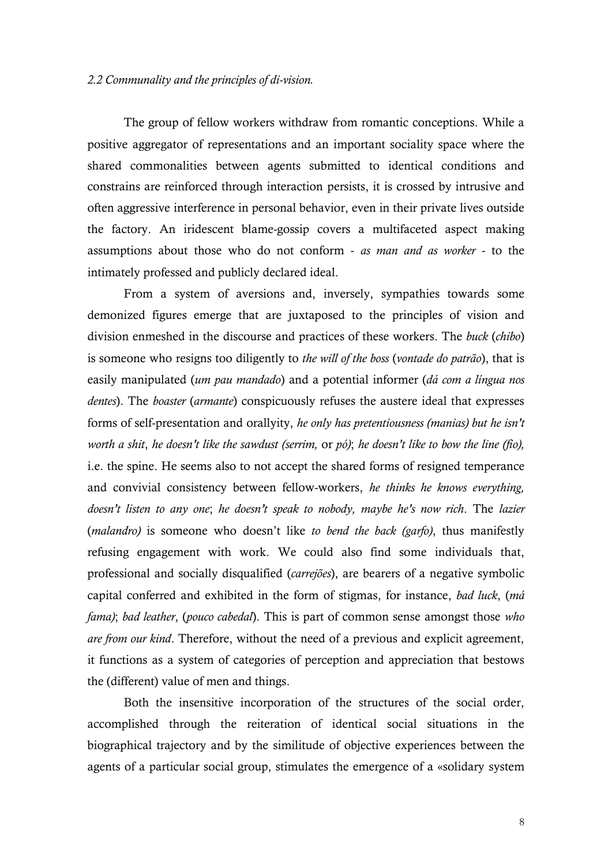#### *2.2 Communality and the principles of di-vision.*

The group of fellow workers withdraw from romantic conceptions. While a positive aggregator of representations and an important sociality space where the shared commonalities between agents submitted to identical conditions and constrains are reinforced through interaction persists, it is crossed by intrusive and often aggressive interference in personal behavior, even in their private lives outside the factory. An iridescent blame-gossip covers a multifaceted aspect making assumptions about those who do not conform - *as man and as worker* - to the intimately professed and publicly declared ideal.

From a system of aversions and, inversely, sympathies towards some demonized figures emerge that are juxtaposed to the principles of vision and division enmeshed in the discourse and practices of these workers. The *buck* (*chibo*) is someone who resigns too diligently to *the will of the boss* (*vontade do patrão*), that is easily manipulated (*um pau mandado*) and a potential informer (*dá com a língua nos dentes*). The *boaster* (*armante*) conspicuously refuses the austere ideal that expresses forms of self-presentation and orallyity, *he only has pretentiousness (manias) but he isn't worth a shit*, *he doesn't like the sawdust (serrim,* or *pó)*; *he doesn't like to bow the line (fio),* i.e. the spine. He seems also to not accept the shared forms of resigned temperance and convivial consistency between fellow-workers, *he thinks he knows everything, doesn't listen to any one*; *he doesn't speak to nobody, maybe he's now rich*. The *lazier* (*malandro)* is someone who doesn't like *to bend the back (garfo)*, thus manifestly refusing engagement with work. We could also find some individuals that, professional and socially disqualified (*carrejões*), are bearers of a negative symbolic capital conferred and exhibited in the form of stigmas, for instance, *bad luck*, (*má fama)*; *bad leather*, (*pouco cabedal*). This is part of common sense amongst those *who are from our kind*. Therefore, without the need of a previous and explicit agreement, it functions as a system of categories of perception and appreciation that bestows the (different) value of men and things.

Both the insensitive incorporation of the structures of the social order, accomplished through the reiteration of identical social situations in the biographical trajectory and by the similitude of objective experiences between the agents of a particular social group, stimulates the emergence of a «solidary system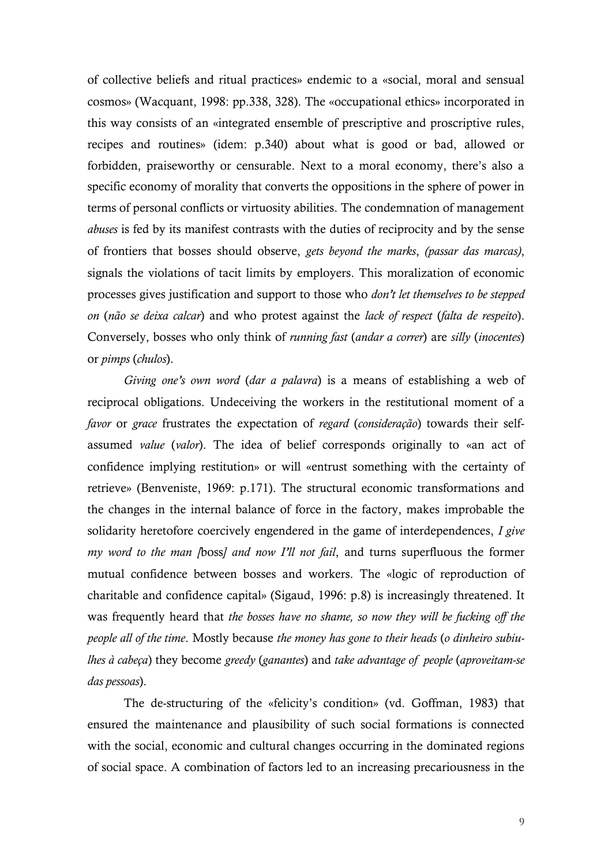of collective beliefs and ritual practices» endemic to a «social, moral and sensual cosmos» (Wacquant, 1998: pp.338, 328). The «occupational ethics» incorporated in this way consists of an «integrated ensemble of prescriptive and proscriptive rules, recipes and routines» (idem: p.340) about what is good or bad, allowed or forbidden, praiseworthy or censurable. Next to a moral economy, there's also a specific economy of morality that converts the oppositions in the sphere of power in terms of personal conflicts or virtuosity abilities. The condemnation of management *abuses* is fed by its manifest contrasts with the duties of reciprocity and by the sense of frontiers that bosses should observe, *gets beyond the marks*, *(passar das marcas)*, signals the violations of tacit limits by employers. This moralization of economic processes gives justification and support to those who *don't let themselves to be stepped on* (*não se deixa calcar*) and who protest against the *lack of respect* (*falta de respeito*). Conversely, bosses who only think of *running fast* (*andar a correr*) are *silly* (*inocentes*) or *pimps* (*chulos*).

*Giving one's own word* (*dar a palavra*) is a means of establishing a web of reciprocal obligations. Undeceiving the workers in the restitutional moment of a *favor* or *grace* frustrates the expectation of *regard* (*consideração*) towards their selfassumed *value* (*valor*). The idea of belief corresponds originally to «an act of confidence implying restitution» or will «entrust something with the certainty of retrieve» (Benveniste, 1969: p.171). The structural economic transformations and the changes in the internal balance of force in the factory, makes improbable the solidarity heretofore coercively engendered in the game of interdependences, *I give my word to the man [*boss*] and now I'll not fail*, and turns superfluous the former mutual confidence between bosses and workers. The «logic of reproduction of charitable and confidence capital» (Sigaud, 1996: p.8) is increasingly threatened. It was frequently heard that *the bosses have no shame, so now they will be fucking off the people all of the time*. Mostly because *the money has gone to their heads* (*o dinheiro subiulhes à cabeça*) they become *greedy* (*ganantes*) and *take advantage of people* (*aproveitam-se das pessoas*).

The de-structuring of the «felicity's condition» (vd. Goffman, 1983) that ensured the maintenance and plausibility of such social formations is connected with the social, economic and cultural changes occurring in the dominated regions of social space. A combination of factors led to an increasing precariousness in the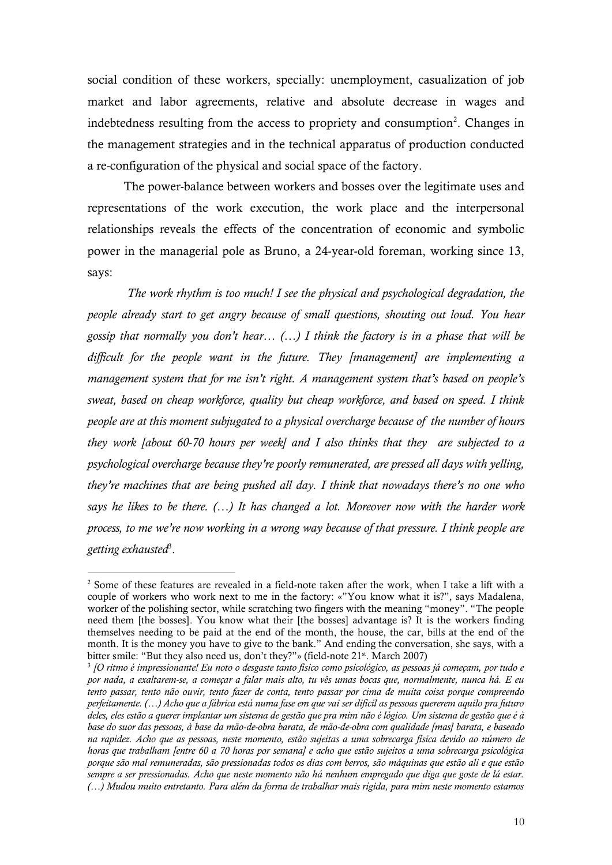social condition of these workers, specially: unemployment, casualization of job market and labor agreements, relative and absolute decrease in wages and indebtedness resulting from the access to propriety and consumption<sup>2</sup>. Changes in the management strategies and in the technical apparatus of production conducted a re-configuration of the physical and social space of the factory.

The power-balance between workers and bosses over the legitimate uses and representations of the work execution, the work place and the interpersonal relationships reveals the effects of the concentration of economic and symbolic power in the managerial pole as Bruno, a 24-year-old foreman, working since 13, says:

*The work rhythm is too much! I see the physical and psychological degradation, the people already start to get angry because of small questions, shouting out loud. You hear gossip that normally you don't hear… (…) I think the factory is in a phase that will be difficult for the people want in the future. They [management] are implementing a management system that for me isn't right. A management system that's based on people's sweat, based on cheap workforce, quality but cheap workforce, and based on speed. I think people are at this moment subjugated to a physical overcharge because of the number of hours they work [about 60-70 hours per week] and I also thinks that they are subjected to a psychological overcharge because they're poorly remunerated, are pressed all days with yelling, they're machines that are being pushed all day. I think that nowadays there's no one who says he likes to be there. (…) It has changed a lot. Moreover now with the harder work process, to me we're now working in a wrong way because of that pressure. I think people are getting exhausted*<sup>3</sup> .

-

<sup>&</sup>lt;sup>2</sup> Some of these features are revealed in a field-note taken after the work, when I take a lift with a couple of workers who work next to me in the factory: «"You know what it is?", says Madalena, worker of the polishing sector, while scratching two fingers with the meaning "money". "The people need them [the bosses]. You know what their [the bosses] advantage is? It is the workers finding themselves needing to be paid at the end of the month, the house, the car, bills at the end of the month. It is the money you have to give to the bank." And ending the conversation, she says, with a bitter smile: "But they also need us, don't they?"» (field-note 21<sup>st</sup>. March 2007)

<sup>3</sup> *[O ritmo é impressionante! Eu noto o desgaste tanto físico como psicológico, as pessoas já começam, por tudo e por nada, a exaltarem-se, a começar a falar mais alto, tu vês umas bocas que, normalmente, nunca há. E eu tento passar, tento não ouvir, tento fazer de conta, tento passar por cima de muita coisa porque compreendo perfeitamente. (…) Acho que a fábrica está numa fase em que vai ser difícil as pessoas quererem aquilo pra futuro deles, eles estão a querer implantar um sistema de gestão que pra mim não é lógico. Um sistema de gestão que é à base do suor das pessoas, à base da mão-de-obra barata, de mão-de-obra com qualidade [mas] barata, e baseado na rapidez. Acho que as pessoas, neste momento, estão sujeitas a uma sobrecarga física devido ao número de horas que trabalham [entre 60 a 70 horas por semana] e acho que estão sujeitos a uma sobrecarga psicológica porque são mal remuneradas, são pressionadas todos os dias com berros, são máquinas que estão ali e que estão sempre a ser pressionadas. Acho que neste momento não há nenhum empregado que diga que goste de lá estar. (…) Mudou muito entretanto. Para além da forma de trabalhar mais rígida, para mim neste momento estamos*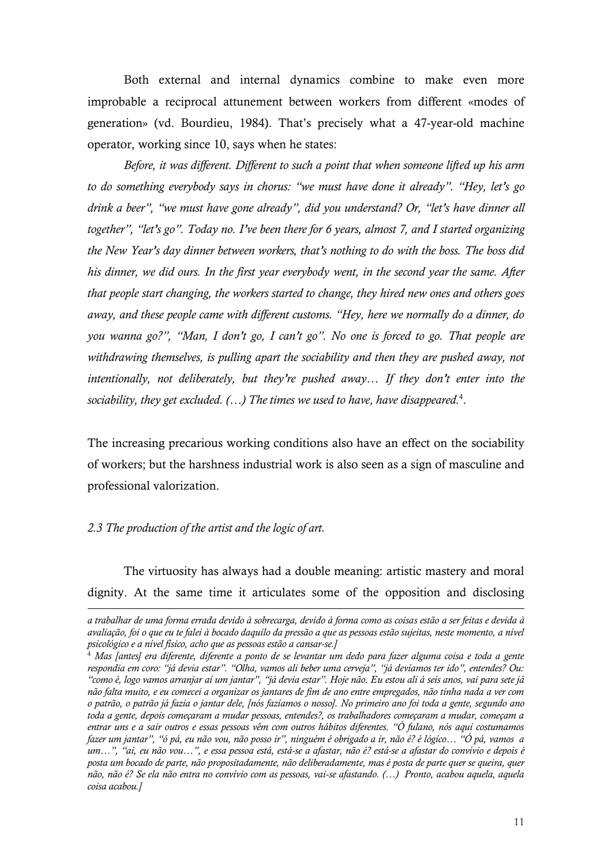Both external and internal dynamics combine to make even more improbable a reciprocal attunement between workers from different «modes of generation» (vd. Bourdieu, 1984). That's precisely what a 47-year-old machine operator, working since 10, says when he states:

*Before, it was different. Different to such a point that when someone lifted up his arm to do something everybody says in chorus: "we must have done it already". "Hey, let's go* drink a beer", "we must have gone already", did you understand? Or, "let's have dinner all *together", "let's go". Today no. I've been there for 6 years, almost 7, and I started organizing the New Year's day dinner between workers, that's nothing to do with the boss. The boss did his dinner, we did ours. In the first year everybody went, in the second year the same. After that people start changing, the workers started to change, they hired new ones and others goes away, and these people came with different customs. "Hey, here we normally do a dinner, do you wanna go?", "Man, I don't go, I can't go". No one is forced to go. That people are withdrawing themselves, is pulling apart the sociability and then they are pushed away, not intentionally, not deliberately, but they're pushed away… If they don't enter into the sociability, they get excluded. (…) The times we used to have, have disappeared.*<sup>4</sup> .

The increasing precarious working conditions also have an effect on the sociability of workers; but the harshness industrial work is also seen as a sign of masculine and professional valorization.

#### *2.3 The production of the artist and the logic of art.*

<u>.</u>

The virtuosity has always had a double meaning: artistic mastery and moral dignity. At the same time it articulates some of the opposition and disclosing

*a trabalhar de uma forma errada devido à sobrecarga, devido à forma como as coisas estão a ser feitas e devida à avaliação, foi o que eu te falei à bocado daquilo da pressão a que as pessoas estão sujeitas, neste momento, a nível psicológico e a nível físico, acho que as pessoas estão a cansar-se.]*

<sup>4</sup> *Mas [antes] era diferente, diferente a ponto de se levantar um dedo para fazer alguma coisa e toda a gente respondia em coro: "já devia estar". "Olha, vamos ali beber uma cerveja", "já devíamos ter ido", entendes? Ou: "como é, logo vamos arranjar aí um jantar", "já devia estar". Hoje não. Eu estou ali à seis anos, vai para sete já não falta muito, e eu comecei a organizar os jantares de fim de ano entre empregados, não tinha nada a ver com o patrão, o patrão já fazia o jantar dele, [nós fazíamos o nosso]. No primeiro ano foi toda a gente, segundo ano toda a gente, depois começaram a mudar pessoas, entendes?, os trabalhadores começaram a mudar, começam a entrar uns e a sair outros e essas pessoas vêm com outros hábitos diferentes. "Ó fulano, nós aqui costumamos fazer um jantar", "ó pá, eu não vou, não posso ir", ninguém é obrigado a ir, não é? é lógico… "Ó pá, vamos a um…", "ai, eu não vou…", e essa pessoa está, está-se a afastar, não é? está-se a afastar do convívio e depois é posta um bocado de parte, não propositadamente, não deliberadamente, mas é posta de parte quer se queira, quer não, não é? Se ela não entra no convívio com as pessoas, vai-se afastando. (…) Pronto, acabou aquela, aquela coisa acabou.]*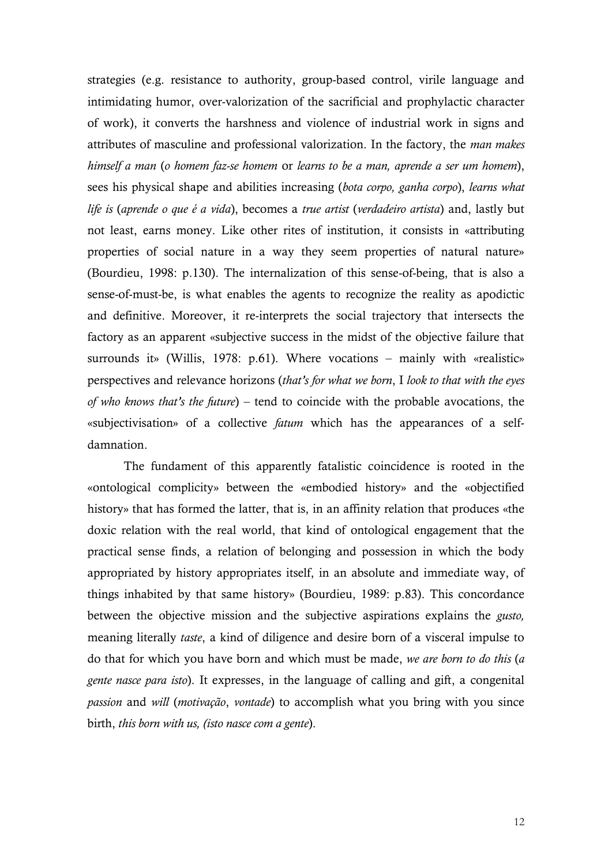strategies (e.g. resistance to authority, group-based control, virile language and intimidating humor, over-valorization of the sacrificial and prophylactic character of work), it converts the harshness and violence of industrial work in signs and attributes of masculine and professional valorization. In the factory, the *man makes himself a man* (*o homem faz-se homem* or *learns to be a man, aprende a ser um homem*), sees his physical shape and abilities increasing (*bota corpo, ganha corpo*), *learns what life is* (*aprende o que é a vida*), becomes a *true artist* (*verdadeiro artista*) and, lastly but not least, earns money. Like other rites of institution, it consists in «attributing properties of social nature in a way they seem properties of natural nature» (Bourdieu, 1998: p.130). The internalization of this sense-of-being, that is also a sense-of-must-be, is what enables the agents to recognize the reality as apodictic and definitive. Moreover, it re-interprets the social trajectory that intersects the factory as an apparent «subjective success in the midst of the objective failure that surrounds it» (Willis, 1978: p.61). Where vocations – mainly with «realistic» perspectives and relevance horizons (*that's for what we born*, I *look to that with the eyes of who knows that's the future*) – tend to coincide with the probable avocations, the «subjectivisation» of a collective *fatum* which has the appearances of a selfdamnation.

The fundament of this apparently fatalistic coincidence is rooted in the «ontological complicity» between the «embodied history» and the «objectified history» that has formed the latter, that is, in an affinity relation that produces «the doxic relation with the real world, that kind of ontological engagement that the practical sense finds, a relation of belonging and possession in which the body appropriated by history appropriates itself, in an absolute and immediate way, of things inhabited by that same history» (Bourdieu, 1989: p.83). This concordance between the objective mission and the subjective aspirations explains the *gusto,* meaning literally *taste*, a kind of diligence and desire born of a visceral impulse to do that for which you have born and which must be made, *we are born to do this* (*a gente nasce para isto*). It expresses, in the language of calling and gift, a congenital *passion* and *will* (*motivação*, *vontade*) to accomplish what you bring with you since birth, *this born with us, (isto nasce com a gente*).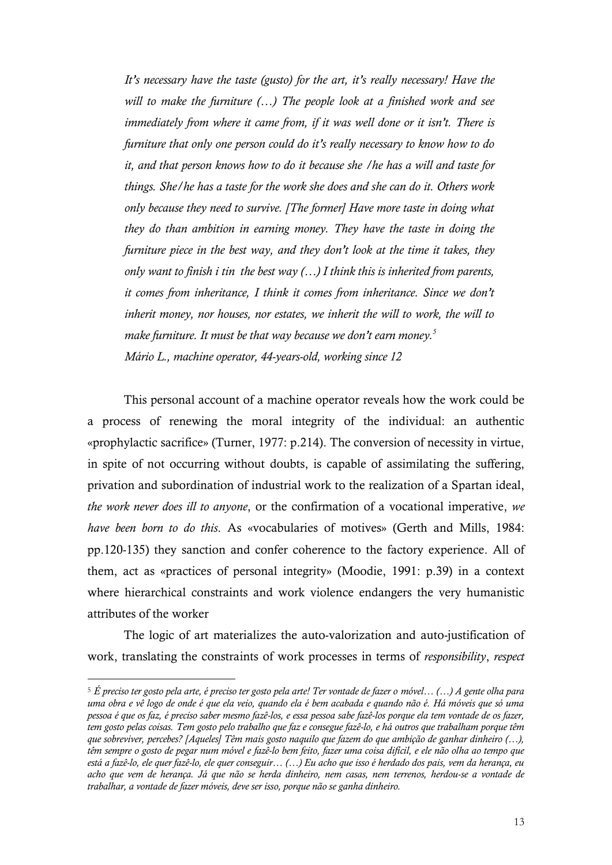*It's necessary have the taste (gusto) for the art, it's really necessary! Have the will to make the furniture (…) The people look at a finished work and see immediately from where it came from, if it was well done or it isn't. There is furniture that only one person could do it's really necessary to know how to do it, and that person knows how to do it because she /he has a will and taste for things. She/he has a taste for the work she does and she can do it. Others work only because they need to survive. [The former] Have more taste in doing what they do than ambition in earning money. They have the taste in doing the furniture piece in the best way, and they don't look at the time it takes, they only want to finish i tin the best way (…) I think this is inherited from parents, it comes from inheritance, I think it comes from inheritance. Since we don't inherit money, nor houses, nor estates, we inherit the will to work, the will to make furniture. It must be that way because we don't earn money.<sup>5</sup> Mário L., machine operator, 44-years-old, working since 12* 

This personal account of a machine operator reveals how the work could be a process of renewing the moral integrity of the individual: an authentic «prophylactic sacrifice» (Turner, 1977: p.214). The conversion of necessity in virtue, in spite of not occurring without doubts, is capable of assimilating the suffering, privation and subordination of industrial work to the realization of a Spartan ideal, *the work never does ill to anyone*, or the confirmation of a vocational imperative, *we have been born to do this*. As «vocabularies of motives» (Gerth and Mills, 1984: pp.120-135) they sanction and confer coherence to the factory experience. All of them, act as «practices of personal integrity» (Moodie, 1991: p.39) in a context where hierarchical constraints and work violence endangers the very humanistic attributes of the worker

The logic of art materializes the auto-valorization and auto-justification of work, translating the constraints of work processes in terms of *responsibility*, *respect*

<u>.</u>

<sup>5</sup> *É preciso ter gosto pela arte, é preciso ter gosto pela arte! Ter vontade de fazer o móvel… (…) A gente olha para uma obra e vê logo de onde é que ela veio, quando ela é bem acabada e quando não é. Há móveis que só uma pessoa é que os faz, é preciso saber mesmo fazê-los, e essa pessoa sabe fazê-los porque ela tem vontade de os fazer, tem gosto pelas coisas. Tem gosto pelo trabalho que faz e consegue fazê-lo, e há outros que trabalham porque têm que sobreviver, percebes? [Aqueles] Têm mais gosto naquilo que fazem do que ambição de ganhar dinheiro (…), têm sempre o gosto de pegar num móvel e fazê-lo bem feito, fazer uma coisa difícil, e ele não olha ao tempo que está a fazê-lo, ele quer fazê-lo, ele quer conseguir… (…) Eu acho que isso é herdado dos pais, vem da herança, eu acho que vem de herança. Já que não se herda dinheiro, nem casas, nem terrenos, herdou-se a vontade de trabalhar, a vontade de fazer móveis, deve ser isso, porque não se ganha dinheiro.*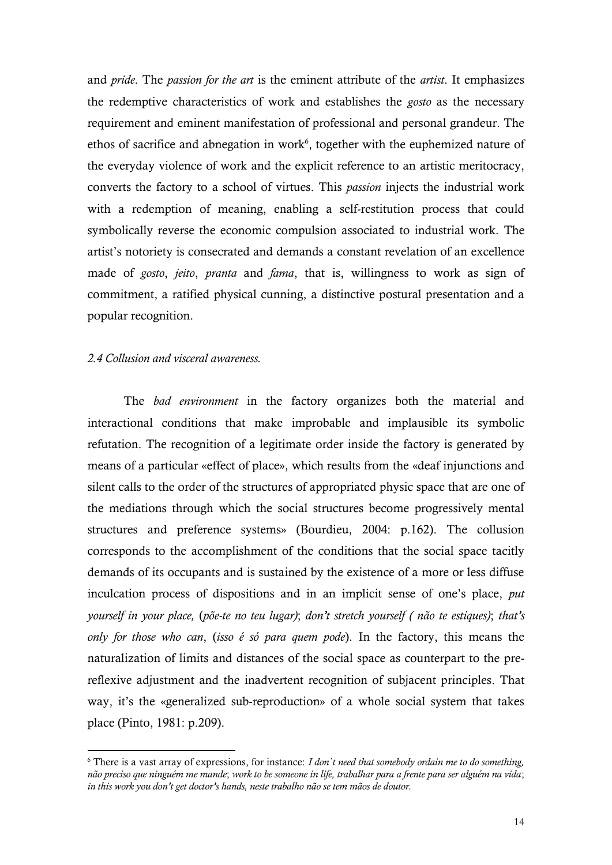and *pride*. The *passion for the art* is the eminent attribute of the *artist*. It emphasizes the redemptive characteristics of work and establishes the *gosto* as the necessary requirement and eminent manifestation of professional and personal grandeur. The ethos of sacrifice and abnegation in work $6$ , together with the euphemized nature of the everyday violence of work and the explicit reference to an artistic meritocracy, converts the factory to a school of virtues. This *passion* injects the industrial work with a redemption of meaning, enabling a self-restitution process that could symbolically reverse the economic compulsion associated to industrial work. The artist's notoriety is consecrated and demands a constant revelation of an excellence made of *gosto*, *jeito*, *pranta* and *fama*, that is, willingness to work as sign of commitment, a ratified physical cunning, a distinctive postural presentation and a popular recognition.

# *2.4 Collusion and visceral awareness.*

<u>.</u>

The *bad environment* in the factory organizes both the material and interactional conditions that make improbable and implausible its symbolic refutation. The recognition of a legitimate order inside the factory is generated by means of a particular «effect of place», which results from the «deaf injunctions and silent calls to the order of the structures of appropriated physic space that are one of the mediations through which the social structures become progressively mental structures and preference systems» (Bourdieu, 2004: p.162). The collusion corresponds to the accomplishment of the conditions that the social space tacitly demands of its occupants and is sustained by the existence of a more or less diffuse inculcation process of dispositions and in an implicit sense of one's place, *put yourself in your place,* (*põe-te no teu lugar)*; *don't stretch yourself ( não te estiques)*; *that's only for those who can*, (*isso é só para quem pode*). In the factory, this means the naturalization of limits and distances of the social space as counterpart to the prereflexive adjustment and the inadvertent recognition of subjacent principles. That way, it's the «generalized sub-reproduction» of a whole social system that takes place (Pinto, 1981: p.209).

<sup>6</sup> There is a vast array of expressions, for instance: *I don`t need that somebody ordain me to do something, não preciso que ninguém me mande*; *work to be someone in life, trabalhar para a frente para ser alguém na vida*; *in this work you don't get doctor's hands, neste trabalho não se tem mãos de doutor.*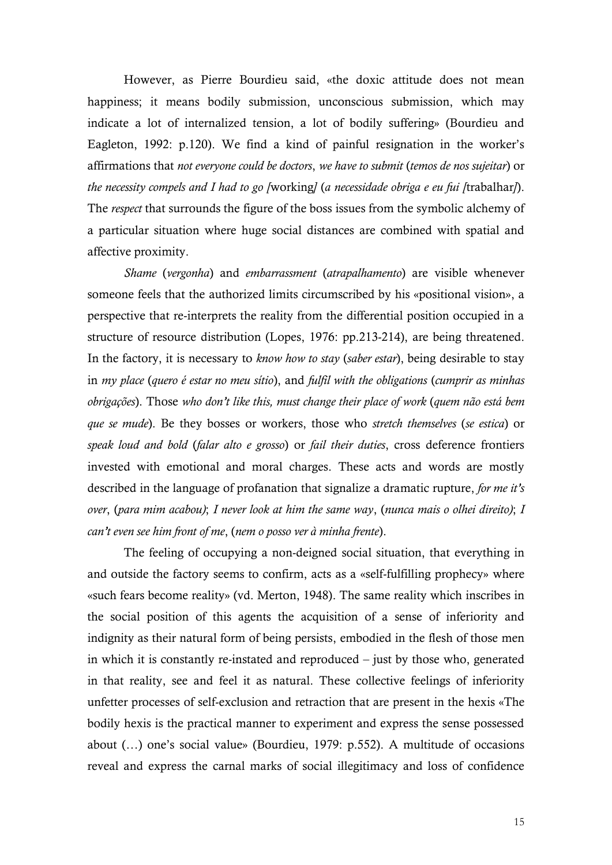However, as Pierre Bourdieu said, «the doxic attitude does not mean happiness; it means bodily submission, unconscious submission, which may indicate a lot of internalized tension, a lot of bodily suffering» (Bourdieu and Eagleton, 1992: p.120). We find a kind of painful resignation in the worker's affirmations that *not everyone could be doctors*, *we have to submit* (*temos de nos sujeitar*) or *the necessity compels and I had to go [*working*]* (*a necessidade obriga e eu fui [*trabalhar*]*). The *respect* that surrounds the figure of the boss issues from the symbolic alchemy of a particular situation where huge social distances are combined with spatial and affective proximity.

*Shame* (*vergonha*) and *embarrassment* (*atrapalhamento*) are visible whenever someone feels that the authorized limits circumscribed by his «positional vision», a perspective that re-interprets the reality from the differential position occupied in a structure of resource distribution (Lopes, 1976: pp.213-214), are being threatened. In the factory, it is necessary to *know how to stay* (*saber estar*), being desirable to stay in *my place* (*quero é estar no meu sítio*), and *fulfil with the obligations* (*cumprir as minhas obrigações*). Those *who don't like this, must change their place of work* (*quem não está bem que se mude*). Be they bosses or workers, those who *stretch themselves* (*se estica*) or *speak loud and bold* (*falar alto e grosso*) or *fail their duties*, cross deference frontiers invested with emotional and moral charges. These acts and words are mostly described in the language of profanation that signalize a dramatic rupture, *for me it's over*, (*para mim acabou)*; *I never look at him the same way*, (*nunca mais o olhei direito)*; *I can't even see him front of me*, (*nem o posso ver à minha frente*).

The feeling of occupying a non-deigned social situation, that everything in and outside the factory seems to confirm, acts as a «self-fulfilling prophecy» where «such fears become reality» (vd. Merton, 1948). The same reality which inscribes in the social position of this agents the acquisition of a sense of inferiority and indignity as their natural form of being persists, embodied in the flesh of those men in which it is constantly re-instated and reproduced – just by those who, generated in that reality, see and feel it as natural. These collective feelings of inferiority unfetter processes of self-exclusion and retraction that are present in the hexis «The bodily hexis is the practical manner to experiment and express the sense possessed about (…) one's social value» (Bourdieu, 1979: p.552). A multitude of occasions reveal and express the carnal marks of social illegitimacy and loss of confidence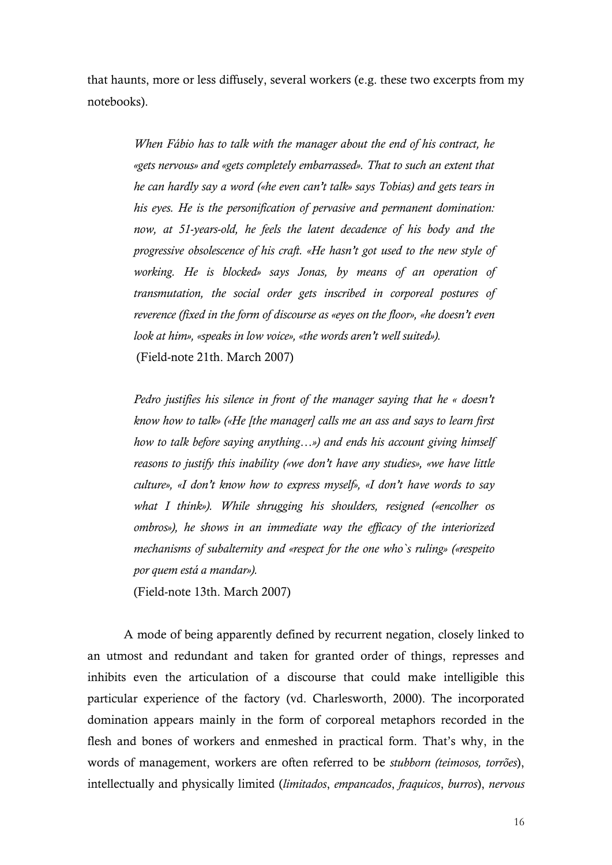that haunts, more or less diffusely, several workers (e.g. these two excerpts from my notebooks).

> *When Fábio has to talk with the manager about the end of his contract, he «gets nervous» and «gets completely embarrassed». That to such an extent that he can hardly say a word («he even can't talk» says Tobias) and gets tears in his eyes. He is the personification of pervasive and permanent domination: now, at 51-years-old, he feels the latent decadence of his body and the progressive obsolescence of his craft. «He hasn't got used to the new style of working. He is blocked» says Jonas, by means of an operation of transmutation, the social order gets inscribed in corporeal postures of reverence (fixed in the form of discourse as «eyes on the floor», «he doesn't even look at him», «speaks in low voice», «the words aren't well suited»).* (Field-note 21th. March 2007)

> *Pedro justifies his silence in front of the manager saying that he « doesn't know how to talk» («He [the manager] calls me an ass and says to learn first how to talk before saying anything…») and ends his account giving himself reasons to justify this inability («we don't have any studies», «we have little culture», «I don't know how to express myself», «I don't have words to say what I think»). While shrugging his shoulders, resigned («encolher os ombros»), he shows in an immediate way the efficacy of the interiorized mechanisms of subalternity and «respect for the one who`s ruling» («respeito por quem está a mandar»).*

(Field-note 13th. March 2007)

A mode of being apparently defined by recurrent negation, closely linked to an utmost and redundant and taken for granted order of things, represses and inhibits even the articulation of a discourse that could make intelligible this particular experience of the factory (vd. Charlesworth, 2000). The incorporated domination appears mainly in the form of corporeal metaphors recorded in the flesh and bones of workers and enmeshed in practical form. That's why, in the words of management, workers are often referred to be *stubborn (teimosos, torrões*), intellectually and physically limited (*limitados*, *empancados*, *fraquicos*, *burros*), *nervous*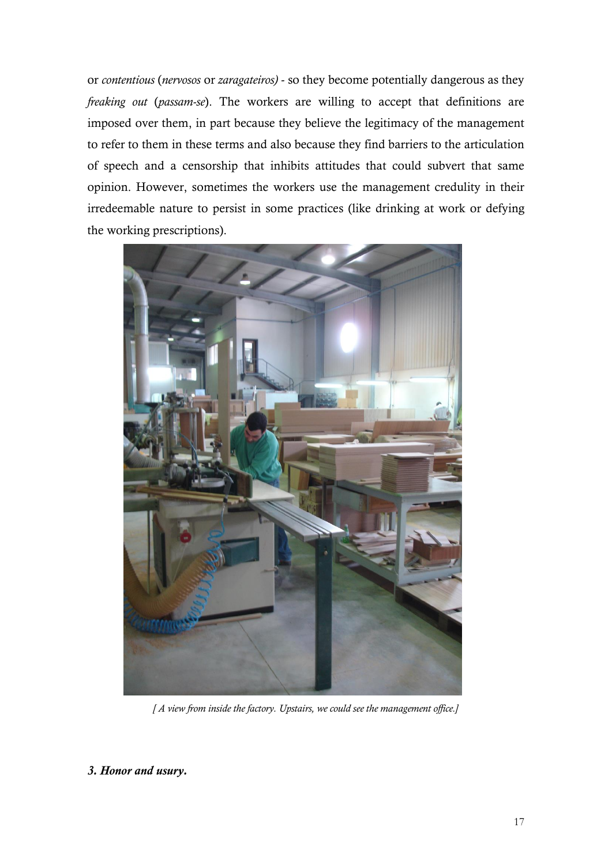or *contentious* (*nervosos* or *zaragateiros)* - so they become potentially dangerous as they *freaking out* (*passam-se*). The workers are willing to accept that definitions are imposed over them, in part because they believe the legitimacy of the management to refer to them in these terms and also because they find barriers to the articulation of speech and a censorship that inhibits attitudes that could subvert that same opinion. However, sometimes the workers use the management credulity in their irredeemable nature to persist in some practices (like drinking at work or defying the working prescriptions).



*[ A view from inside the factory. Upstairs, we could see the management office.]*

*3. Honor and usury.*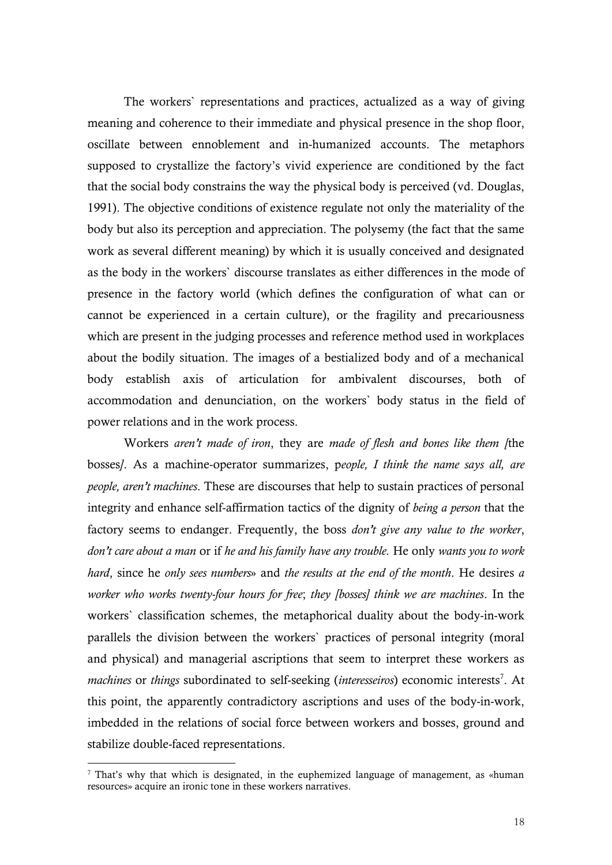The workers` representations and practices, actualized as a way of giving meaning and coherence to their immediate and physical presence in the shop floor, oscillate between ennoblement and in-humanized accounts. The metaphors supposed to crystallize the factory's vivid experience are conditioned by the fact that the social body constrains the way the physical body is perceived (vd. Douglas, 1991). The objective conditions of existence regulate not only the materiality of the body but also its perception and appreciation. The polysemy (the fact that the same work as several different meaning) by which it is usually conceived and designated as the body in the workers` discourse translates as either differences in the mode of presence in the factory world (which defines the configuration of what can or cannot be experienced in a certain culture), or the fragility and precariousness which are present in the judging processes and reference method used in workplaces about the bodily situation. The images of a bestialized body and of a mechanical body establish axis of articulation for ambivalent discourses, both of accommodation and denunciation, on the workers` body status in the field of power relations and in the work process.

Workers *aren't made of iron*, they are *made of flesh and bones like them [*the bosses*]*. As a machine-operator summarizes, p*eople, I think the name says all, are people, aren't machines*. These are discourses that help to sustain practices of personal integrity and enhance self-affirmation tactics of the dignity of *being a person* that the factory seems to endanger. Frequently, the boss *don't give any value to the worker*, *don't care about a man* or if *he and his family have any trouble.* He only *wants you to work hard*, since he *only sees numbers*» and *the results at the end of the month*. He desires *a worker who works twenty-four hours for free*; *they [bosses] think we are machines*. In the workers` classification schemes, the metaphorical duality about the body-in-work parallels the division between the workers` practices of personal integrity (moral and physical) and managerial ascriptions that seem to interpret these workers as machines or things subordinated to self-seeking (interesseiros) economic interests<sup>7</sup>. At this point, the apparently contradictory ascriptions and uses of the body-in-work, imbedded in the relations of social force between workers and bosses, ground and stabilize double-faced representations.

<u>.</u>

<sup>7</sup> That's why that which is designated, in the euphemized language of management, as «human resources» acquire an ironic tone in these workers narratives.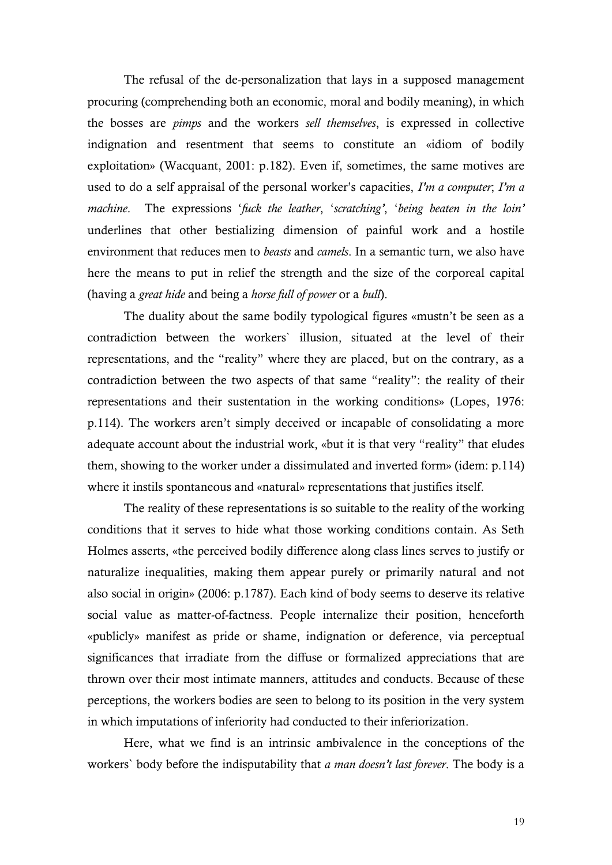The refusal of the de-personalization that lays in a supposed management procuring (comprehending both an economic, moral and bodily meaning), in which the bosses are *pimps* and the workers *sell themselves*, is expressed in collective indignation and resentment that seems to constitute an «idiom of bodily exploitation» (Wacquant, 2001: p.182). Even if, sometimes, the same motives are used to do a self appraisal of the personal worker's capacities, *I'm a computer*; *I'm a machine*. The expressions '*fuck the leather*, '*scratching'*, '*being beaten in the loin'* underlines that other bestializing dimension of painful work and a hostile environment that reduces men to *beasts* and *camels*. In a semantic turn, we also have here the means to put in relief the strength and the size of the corporeal capital (having a *great hide* and being a *horse full of power* or a *bull*).

The duality about the same bodily typological figures «mustn't be seen as a contradiction between the workers` illusion, situated at the level of their representations, and the "reality" where they are placed, but on the contrary, as a contradiction between the two aspects of that same "reality": the reality of their representations and their sustentation in the working conditions» (Lopes, 1976: p.114). The workers aren't simply deceived or incapable of consolidating a more adequate account about the industrial work, «but it is that very "reality" that eludes them, showing to the worker under a dissimulated and inverted form» (idem: p.114) where it instils spontaneous and «natural» representations that justifies itself.

The reality of these representations is so suitable to the reality of the working conditions that it serves to hide what those working conditions contain. As Seth Holmes asserts, «the perceived bodily difference along class lines serves to justify or naturalize inequalities, making them appear purely or primarily natural and not also social in origin» (2006: p.1787). Each kind of body seems to deserve its relative social value as matter-of-factness. People internalize their position, henceforth «publicly» manifest as pride or shame, indignation or deference, via perceptual significances that irradiate from the diffuse or formalized appreciations that are thrown over their most intimate manners, attitudes and conducts. Because of these perceptions, the workers bodies are seen to belong to its position in the very system in which imputations of inferiority had conducted to their inferiorization.

Here, what we find is an intrinsic ambivalence in the conceptions of the workers` body before the indisputability that *a man doesn't last forever*. The body is a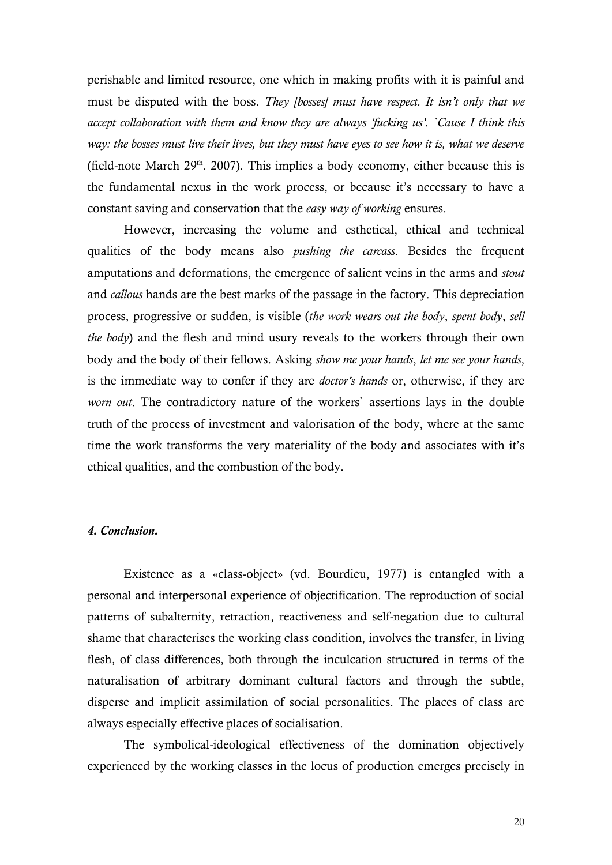perishable and limited resource, one which in making profits with it is painful and must be disputed with the boss. *They [bosses] must have respect. It isn't only that we accept collaboration with them and know they are always 'fucking us'. `Cause I think this way: the bosses must live their lives, but they must have eyes to see how it is, what we deserve* (field-note March  $29<sup>th</sup>$ . 2007). This implies a body economy, either because this is the fundamental nexus in the work process, or because it's necessary to have a constant saving and conservation that the *easy way of working* ensures.

However, increasing the volume and esthetical, ethical and technical qualities of the body means also *pushing the carcass*. Besides the frequent amputations and deformations, the emergence of salient veins in the arms and *stout* and *callous* hands are the best marks of the passage in the factory. This depreciation process, progressive or sudden, is visible (*the work wears out the body*, *spent body*, *sell the body*) and the flesh and mind usury reveals to the workers through their own body and the body of their fellows. Asking *show me your hands*, *let me see your hands*, is the immediate way to confer if they are *doctor's hands* or, otherwise, if they are *worn out*. The contradictory nature of the workers` assertions lays in the double truth of the process of investment and valorisation of the body, where at the same time the work transforms the very materiality of the body and associates with it's ethical qualities, and the combustion of the body.

#### *4. Conclusion.*

Existence as a «class-object» (vd. Bourdieu, 1977) is entangled with a personal and interpersonal experience of objectification. The reproduction of social patterns of subalternity, retraction, reactiveness and self-negation due to cultural shame that characterises the working class condition, involves the transfer, in living flesh, of class differences, both through the inculcation structured in terms of the naturalisation of arbitrary dominant cultural factors and through the subtle, disperse and implicit assimilation of social personalities. The places of class are always especially effective places of socialisation.

The symbolical-ideological effectiveness of the domination objectively experienced by the working classes in the locus of production emerges precisely in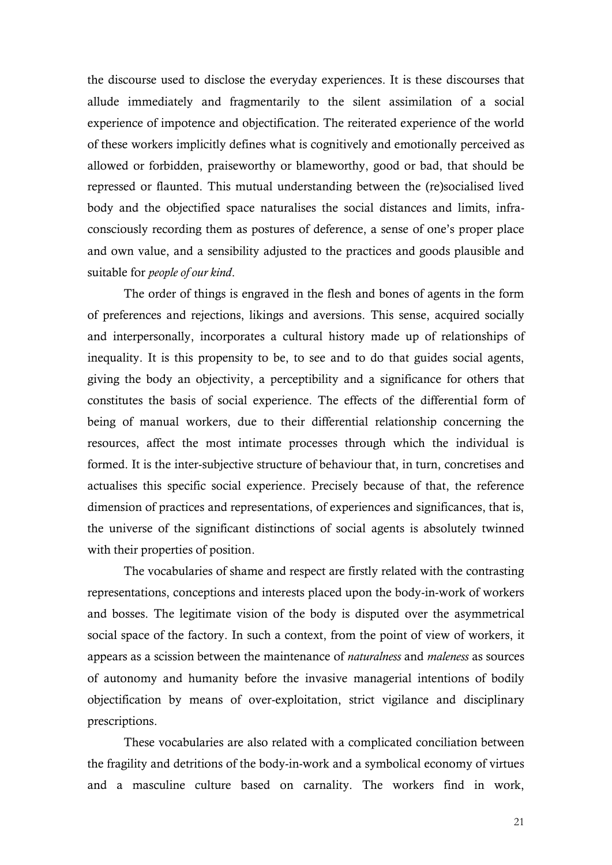the discourse used to disclose the everyday experiences. It is these discourses that allude immediately and fragmentarily to the silent assimilation of a social experience of impotence and objectification. The reiterated experience of the world of these workers implicitly defines what is cognitively and emotionally perceived as allowed or forbidden, praiseworthy or blameworthy, good or bad, that should be repressed or flaunted. This mutual understanding between the (re)socialised lived body and the objectified space naturalises the social distances and limits, infraconsciously recording them as postures of deference, a sense of one's proper place and own value, and a sensibility adjusted to the practices and goods plausible and suitable for *people of our kind*.

The order of things is engraved in the flesh and bones of agents in the form of preferences and rejections, likings and aversions. This sense, acquired socially and interpersonally, incorporates a cultural history made up of relationships of inequality. It is this propensity to be, to see and to do that guides social agents, giving the body an objectivity, a perceptibility and a significance for others that constitutes the basis of social experience. The effects of the differential form of being of manual workers, due to their differential relationship concerning the resources, affect the most intimate processes through which the individual is formed. It is the inter-subjective structure of behaviour that, in turn, concretises and actualises this specific social experience. Precisely because of that, the reference dimension of practices and representations, of experiences and significances, that is, the universe of the significant distinctions of social agents is absolutely twinned with their properties of position.

The vocabularies of shame and respect are firstly related with the contrasting representations, conceptions and interests placed upon the body-in-work of workers and bosses. The legitimate vision of the body is disputed over the asymmetrical social space of the factory. In such a context, from the point of view of workers, it appears as a scission between the maintenance of *naturalness* and *maleness* as sources of autonomy and humanity before the invasive managerial intentions of bodily objectification by means of over-exploitation, strict vigilance and disciplinary prescriptions.

These vocabularies are also related with a complicated conciliation between the fragility and detritions of the body-in-work and a symbolical economy of virtues and a masculine culture based on carnality. The workers find in work,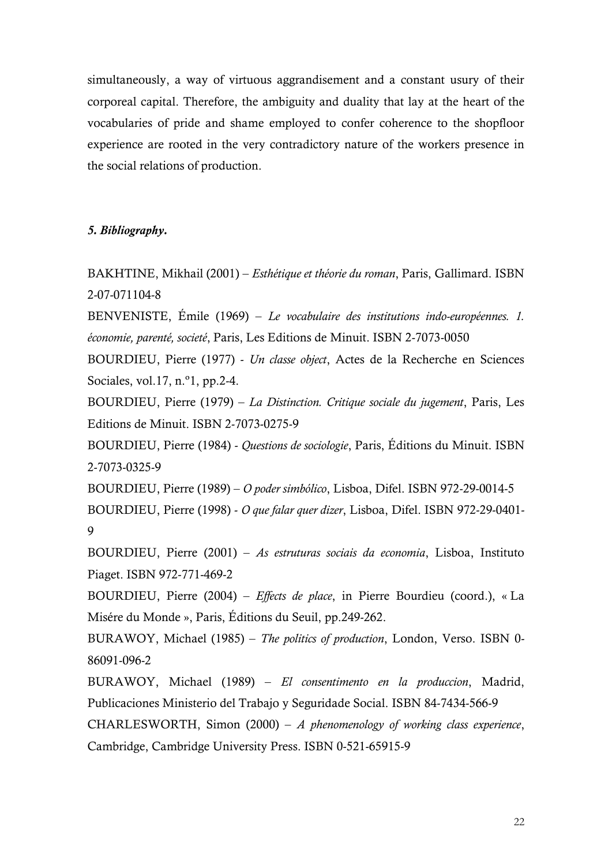simultaneously, a way of virtuous aggrandisement and a constant usury of their corporeal capital. Therefore, the ambiguity and duality that lay at the heart of the vocabularies of pride and shame employed to confer coherence to the shopfloor experience are rooted in the very contradictory nature of the workers presence in the social relations of production.

## *5. Bibliography.*

BAKHTINE, Mikhail (2001) – *Esthétique et théorie du roman*, Paris, Gallimard. ISBN 2-07-071104-8

BENVENISTE, Émile (1969) – *Le vocabulaire des institutions indo-européennes. 1. économie, parenté, societé*, Paris, Les Editions de Minuit. ISBN 2-7073-0050

BOURDIEU, Pierre (1977) - *Un classe object*, Actes de la Recherche en Sciences Sociales, vol.17, n.º1, pp.2-4.

BOURDIEU, Pierre (1979) – *La Distinction. Critique sociale du jugement*, Paris, Les Editions de Minuit. ISBN 2-7073-0275-9

BOURDIEU, Pierre (1984) - *Questions de sociologie*, Paris, Éditions du Minuit. ISBN 2-7073-0325-9

BOURDIEU, Pierre (1989) – *O poder simbólico*, Lisboa, Difel. ISBN 972-29-0014-5 BOURDIEU, Pierre (1998) - *O que falar quer dizer*, Lisboa, Difel. ISBN 972-29-0401- 9

BOURDIEU, Pierre (2001) – *As estruturas sociais da economia*, Lisboa, Instituto Piaget. ISBN 972-771-469-2

BOURDIEU, Pierre (2004) – *Effects de place*, in Pierre Bourdieu (coord.), « La Misére du Monde », Paris, Éditions du Seuil, pp.249-262.

BURAWOY, Michael (1985) – *The politics of production*, London, Verso. ISBN 0- 86091-096-2

BURAWOY, Michael (1989) – *El consentimento en la produccion*, Madrid, Publicaciones Ministerio del Trabajo y Seguridade Social. ISBN 84-7434-566-9

CHARLESWORTH, Simon (2000) – *A phenomenology of working class experience*, Cambridge, Cambridge University Press. ISBN 0-521-65915-9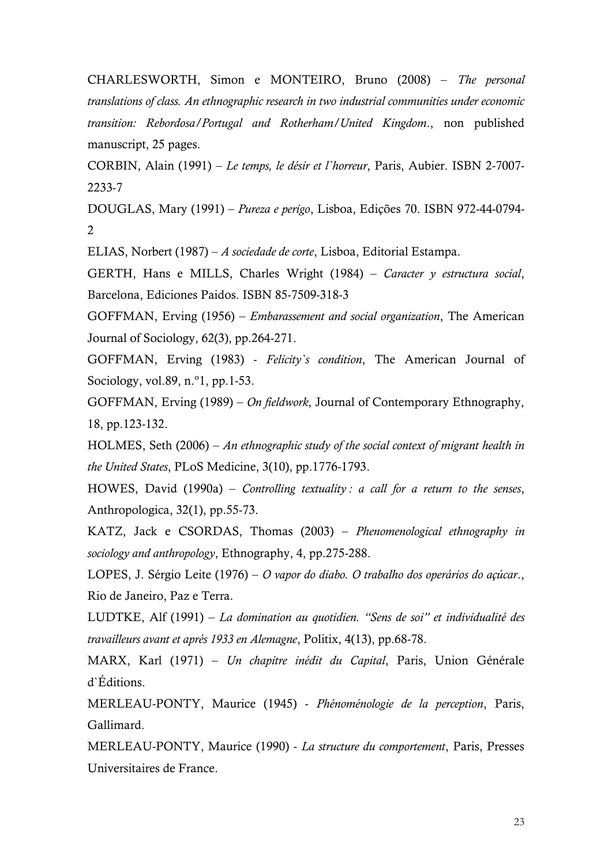CHARLESWORTH, Simon e MONTEIRO, Bruno (2008) – *The personal translations of class. An ethnographic research in two industrial communities under economic transition: Rebordosa/Portugal and Rotherham/United Kingdom*., non published manuscript, 25 pages.

CORBIN, Alain (1991) – *Le temps, le désir et l`horreur*, Paris, Aubier. ISBN 2-7007- 2233-7

DOUGLAS, Mary (1991) – *Pureza e perigo*, Lisboa, Edições 70. ISBN 972-44-0794- 2

ELIAS, Norbert (1987) – *A sociedade de corte*, Lisboa, Editorial Estampa.

GERTH, Hans e MILLS, Charles Wright (1984) – *Caracter y estructura social*, Barcelona, Ediciones Paidos. ISBN 85-7509-318-3

GOFFMAN, Erving (1956) – *Embarassement and social organization*, The American Journal of Sociology, 62(3), pp.264-271.

GOFFMAN, Erving (1983) - *Felicity`s condition*, The American Journal of Sociology, vol.89, n.º1, pp.1-53.

GOFFMAN, Erving (1989) – *On fieldwork*, Journal of Contemporary Ethnography, 18, pp.123-132.

HOLMES, Seth (2006) – *An ethnographic study of the social context of migrant health in the United States*, PLoS Medicine, 3(10), pp.1776-1793.

HOWES, David (1990a) – *Controlling textuality : a call for a return to the senses*, Anthropologica, 32(1), pp.55-73.

KATZ, Jack e CSORDAS, Thomas (2003) – *Phenomenological ethnography in sociology and anthropology*, Ethnography, 4, pp.275-288.

LOPES, J. Sérgio Leite (1976) – *O vapor do diabo. O trabalho dos operários do açúcar*., Rio de Janeiro, Paz e Terra.

LUDTKE, Alf (1991) – *La domination au quotidien. "Sens de soi" et individualité des travailleurs avant et aprés 1933 en Alemagne*, Politix, 4(13), pp.68-78.

MARX, Karl (1971) – *Un chapitre inédit du Capital*, Paris, Union Générale d`Éditions.

MERLEAU-PONTY, Maurice (1945) - *Phénoménologie de la perception*, Paris, Gallimard.

MERLEAU-PONTY, Maurice (1990) - *La structure du comportement*, Paris, Presses Universitaires de France.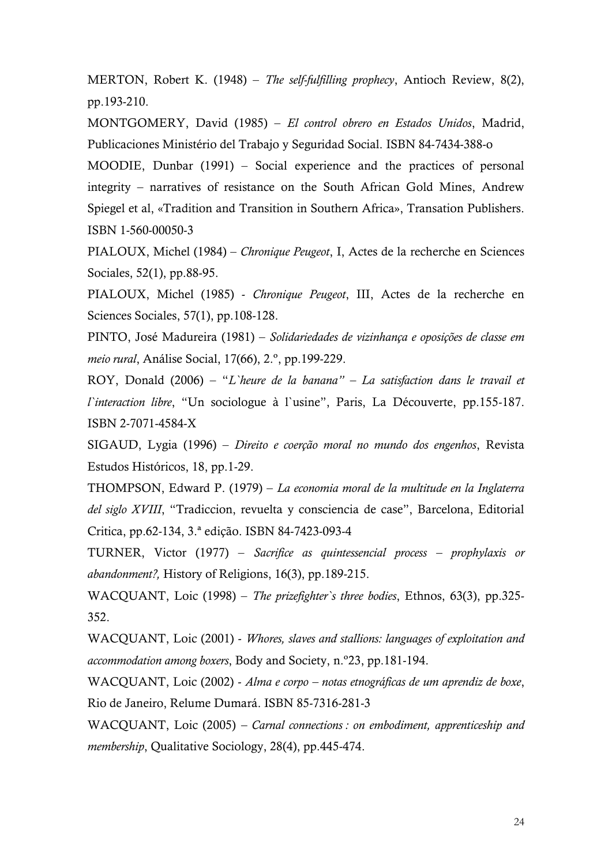MERTON, Robert K. (1948) – *The self-fulfilling prophecy*, Antioch Review, 8(2), pp.193-210.

MONTGOMERY, David (1985) – *El control obrero en Estados Unidos*, Madrid, Publicaciones Ministério del Trabajo y Seguridad Social. ISBN 84-7434-388-o

MOODIE, Dunbar (1991) – Social experience and the practices of personal integrity – narratives of resistance on the South African Gold Mines, Andrew Spiegel et al, «Tradition and Transition in Southern Africa», Transation Publishers. ISBN 1-560-00050-3

PIALOUX, Michel (1984) – *Chronique Peugeot*, I, Actes de la recherche en Sciences Sociales, 52(1), pp.88-95.

PIALOUX, Michel (1985) - *Chronique Peugeot*, III, Actes de la recherche en Sciences Sociales, 57(1), pp.108-128.

PINTO, José Madureira (1981) – *Solidariedades de vizinhança e oposições de classe em meio rural*, Análise Social, 17(66), 2.º, pp.199-229.

ROY, Donald (2006) – "*L`heure de la banana" – La satisfaction dans le travail et l`interaction libre*, "Un sociologue à l`usine", Paris, La Découverte, pp.155-187. ISBN 2-7071-4584-X

SIGAUD, Lygia (1996) – *Direito e coerção moral no mundo dos engenhos*, Revista Estudos Históricos, 18, pp.1-29.

THOMPSON, Edward P. (1979) – *La economia moral de la multitude en la Inglaterra del siglo XVIII*, "Tradiccion, revuelta y consciencia de case", Barcelona, Editorial Critica, pp.62-134, 3.ª edição. ISBN 84-7423-093-4

TURNER, Victor (1977) – *Sacrifice as quintessencial process – prophylaxis or abandonment?,* History of Religions, 16(3), pp.189-215.

WACQUANT, Loic (1998) – *The prizefighter`s three bodies*, Ethnos, 63(3), pp.325- 352.

WACQUANT, Loic (2001) - *Whores, slaves and stallions: languages of exploitation and accommodation among boxers*, Body and Society, n.º23, pp.181-194.

WACQUANT, Loic (2002) - *Alma e corpo – notas etnográficas de um aprendiz de boxe*, Rio de Janeiro, Relume Dumará. ISBN 85-7316-281-3

WACQUANT, Loic (2005) *– Carnal connections : on embodiment, apprenticeship and membership*, Qualitative Sociology, 28(4), pp.445-474.